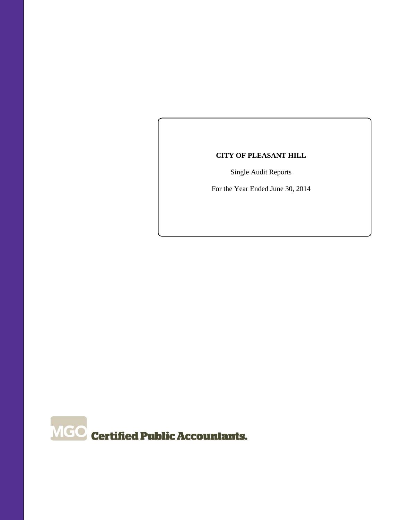Single Audit Reports

For the Year Ended June 30, 2014

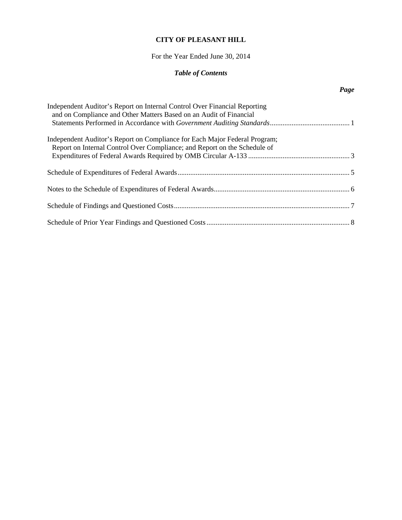For the Year Ended June 30, 2014

# *Table of Contents*

# *Page*

| Independent Auditor's Report on Internal Control Over Financial Reporting<br>and on Compliance and Other Matters Based on an Audit of Financial         |  |
|---------------------------------------------------------------------------------------------------------------------------------------------------------|--|
| Independent Auditor's Report on Compliance for Each Major Federal Program;<br>Report on Internal Control Over Compliance; and Report on the Schedule of |  |
|                                                                                                                                                         |  |
|                                                                                                                                                         |  |
|                                                                                                                                                         |  |
|                                                                                                                                                         |  |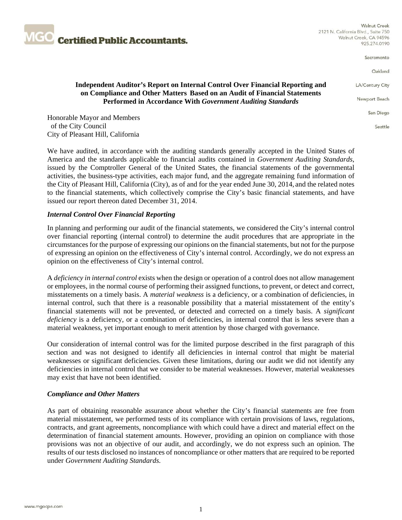

**Walnut Creek** 2121 N. California Blvd., Suite 750 Walnut Creek, CA 94596 925.274.0190

Sacramento

Oakland

LA/Century City

Newport Beach

San Diego

Seattle

### **Independent Auditor's Report on Internal Control Over Financial Reporting and on Compliance and Other Matters Based on an Audit of Financial Statements Performed in Accordance With** *Government Auditing Standards*

Honorable Mayor and Members of the City Council City of Pleasant Hill, California

We have audited, in accordance with the auditing standards generally accepted in the United States of America and the standards applicable to financial audits contained in *Government Auditing Standards*, issued by the Comptroller General of the United States, the financial statements of the governmental activities, the business-type activities, each major fund, and the aggregate remaining fund information of the City of Pleasant Hill, California (City), as of and for the year ended June 30, 2014, and the related notes to the financial statements, which collectively comprise the City's basic financial statements, and have issued our report thereon dated December 31, 2014.

### *Internal Control Over Financial Reporting*

In planning and performing our audit of the financial statements, we considered the City's internal control over financial reporting (internal control) to determine the audit procedures that are appropriate in the circumstances for the purpose of expressing our opinions on the financial statements, but not for the purpose of expressing an opinion on the effectiveness of City's internal control. Accordingly, we do not express an opinion on the effectiveness of City's internal control.

A *deficiency in internal control* exists when the design or operation of a control does not allow management or employees, in the normal course of performing their assigned functions, to prevent, or detect and correct, misstatements on a timely basis. A *material weakness* is a deficiency, or a combination of deficiencies, in internal control, such that there is a reasonable possibility that a material misstatement of the entity's financial statements will not be prevented, or detected and corrected on a timely basis. A *significant deficiency* is a deficiency, or a combination of deficiencies, in internal control that is less severe than a material weakness, yet important enough to merit attention by those charged with governance.

Our consideration of internal control was for the limited purpose described in the first paragraph of this section and was not designed to identify all deficiencies in internal control that might be material weaknesses or significant deficiencies. Given these limitations, during our audit we did not identify any deficiencies in internal control that we consider to be material weaknesses. However, material weaknesses may exist that have not been identified.

### *Compliance and Other Matters*

As part of obtaining reasonable assurance about whether the City's financial statements are free from material misstatement, we performed tests of its compliance with certain provisions of laws, regulations, contracts, and grant agreements, noncompliance with which could have a direct and material effect on the determination of financial statement amounts. However, providing an opinion on compliance with those provisions was not an objective of our audit, and accordingly, we do not express such an opinion. The results of our tests disclosed no instances of noncompliance or other matters that are required to be reported under *Government Auditing Standards*.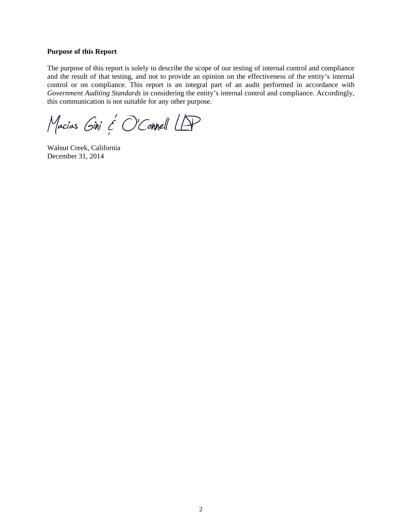#### **Purpose of this Report**

The purpose of this report is solely to describe the scope of our testing of internal control and compliance and the result of that testing, and not to provide an opinion on the effectiveness of the entity's internal control or on compliance. This report is an integral part of an audit performed in accordance with *Government Auditing Standards* in considering the entity's internal control and compliance. Accordingly, this communication is not suitable for any other purpose.

Macias Gini & O'Connell LAP

Walnut Creek, California December 31, 2014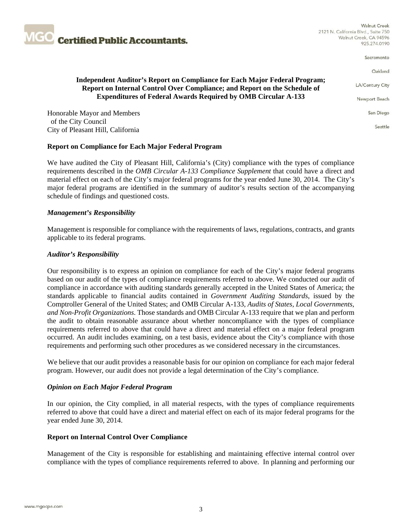

**Walnut Creek** 2121 N. California Blvd., Suite 750 Walnut Creek, CA 94596 925.274.0190

Sacramento

Oakland

LA/Century City

Newport Beach

San Diego

Seattle

### **Independent Auditor's Report on Compliance for Each Major Federal Program; Report on Internal Control Over Compliance; and Report on the Schedule of Expenditures of Federal Awards Required by OMB Circular A-133**

Honorable Mayor and Members of the City Council City of Pleasant Hill, California

# **Report on Compliance for Each Major Federal Program**

We have audited the City of Pleasant Hill, California's (City) compliance with the types of compliance requirements described in the *OMB Circular A-133 Compliance Supplement* that could have a direct and material effect on each of the City's major federal programs for the year ended June 30, 2014. The City's major federal programs are identified in the summary of auditor's results section of the accompanying schedule of findings and questioned costs.

# *Management's Responsibility*

Management is responsible for compliance with the requirements of laws, regulations, contracts, and grants applicable to its federal programs.

### *Auditor's Responsibility*

Our responsibility is to express an opinion on compliance for each of the City's major federal programs based on our audit of the types of compliance requirements referred to above. We conducted our audit of compliance in accordance with auditing standards generally accepted in the United States of America; the standards applicable to financial audits contained in *Government Auditing Standards*, issued by the Comptroller General of the United States; and OMB Circular A-133, *Audits of States, Local Governments, and Non-Profit Organizations*. Those standards and OMB Circular A-133 require that we plan and perform the audit to obtain reasonable assurance about whether noncompliance with the types of compliance requirements referred to above that could have a direct and material effect on a major federal program occurred. An audit includes examining, on a test basis, evidence about the City's compliance with those requirements and performing such other procedures as we considered necessary in the circumstances.

We believe that our audit provides a reasonable basis for our opinion on compliance for each major federal program. However, our audit does not provide a legal determination of the City's compliance.

### *Opinion on Each Major Federal Program*

In our opinion, the City complied, in all material respects, with the types of compliance requirements referred to above that could have a direct and material effect on each of its major federal programs for the year ended June 30, 2014.

### **Report on Internal Control Over Compliance**

Management of the City is responsible for establishing and maintaining effective internal control over compliance with the types of compliance requirements referred to above. In planning and performing our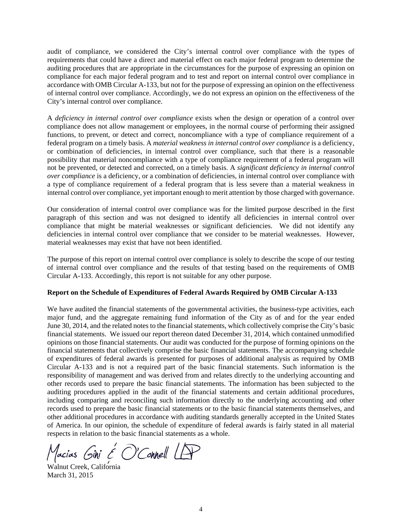audit of compliance, we considered the City's internal control over compliance with the types of requirements that could have a direct and material effect on each major federal program to determine the auditing procedures that are appropriate in the circumstances for the purpose of expressing an opinion on compliance for each major federal program and to test and report on internal control over compliance in accordance with OMB Circular A-133, but not for the purpose of expressing an opinion on the effectiveness of internal control over compliance. Accordingly, we do not express an opinion on the effectiveness of the City's internal control over compliance.

A *deficiency in internal control over compliance* exists when the design or operation of a control over compliance does not allow management or employees, in the normal course of performing their assigned functions, to prevent, or detect and correct, noncompliance with a type of compliance requirement of a federal program on a timely basis. A *material weakness in internal control over compliance* is a deficiency, or combination of deficiencies, in internal control over compliance, such that there is a reasonable possibility that material noncompliance with a type of compliance requirement of a federal program will not be prevented, or detected and corrected, on a timely basis. A *significant deficiency in internal control over compliance* is a deficiency, or a combination of deficiencies, in internal control over compliance with a type of compliance requirement of a federal program that is less severe than a material weakness in internal control over compliance, yet important enough to merit attention by those charged with governance.

Our consideration of internal control over compliance was for the limited purpose described in the first paragraph of this section and was not designed to identify all deficiencies in internal control over compliance that might be material weaknesses or significant deficiencies. We did not identify any deficiencies in internal control over compliance that we consider to be material weaknesses. However, material weaknesses may exist that have not been identified.

The purpose of this report on internal control over compliance is solely to describe the scope of our testing of internal control over compliance and the results of that testing based on the requirements of OMB Circular A-133. Accordingly, this report is not suitable for any other purpose.

### **Report on the Schedule of Expenditures of Federal Awards Required by OMB Circular A-133**

We have audited the financial statements of the governmental activities, the business-type activities, each major fund, and the aggregate remaining fund information of the City as of and for the year ended June 30, 2014, and the related notes to the financial statements, which collectively comprise the City's basic financial statements. We issued our report thereon dated December 31, 2014, which contained unmodified opinions on those financial statements. Our audit was conducted for the purpose of forming opinions on the financial statements that collectively comprise the basic financial statements. The accompanying schedule of expenditures of federal awards is presented for purposes of additional analysis as required by OMB Circular A-133 and is not a required part of the basic financial statements. Such information is the responsibility of management and was derived from and relates directly to the underlying accounting and other records used to prepare the basic financial statements. The information has been subjected to the auditing procedures applied in the audit of the financial statements and certain additional procedures, including comparing and reconciling such information directly to the underlying accounting and other records used to prepare the basic financial statements or to the basic financial statements themselves, and other additional procedures in accordance with auditing standards generally accepted in the United States of America. In our opinion, the schedule of expenditure of federal awards is fairly stated in all material respects in relation to the basic financial statements as a whole.

Macias Gini  $\acute{\epsilon}$  O'Connell LP

Walnut Creek, California March 31, 2015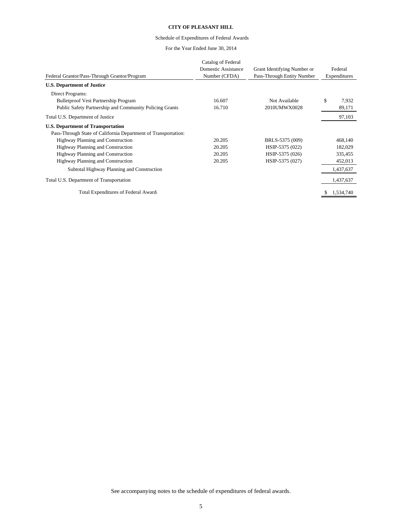#### Schedule of Expenditures of Federal Awards

#### For the Year Ended June 30, 2014

|                                                                | Catalog of Federal<br>Domestic Assistance | Grant Identifying Number or | Federal      |
|----------------------------------------------------------------|-------------------------------------------|-----------------------------|--------------|
| Federal Grantor/Pass-Through Grantor/Program                   | Number (CFDA)                             | Pass-Through Entity Number  | Expenditures |
| <b>U.S. Department of Justice</b>                              |                                           |                             |              |
| Direct Programs:                                               |                                           |                             |              |
| Bulletproof Vest Partnership Program                           | 16.607                                    | Not Available               | \$<br>7,932  |
| Public Safety Partnership and Community Policing Grants        | 16.710                                    | 2010UMWX0028                | 89,171       |
| Total U.S. Department of Justice                               |                                           |                             | 97,103       |
| <b>U.S. Department of Transportation</b>                       |                                           |                             |              |
| Pass-Through State of California Department of Transportation: |                                           |                             |              |
| <b>Highway Planning and Construction</b>                       | 20.205                                    | BRLS-5375 (009)             | 468,140      |
| <b>Highway Planning and Construction</b>                       | 20.205                                    | HSIP-5375 (022)             | 182,029      |
| <b>Highway Planning and Construction</b>                       | 20.205                                    | HSIP-5375 (026)             | 335,455      |
| <b>Highway Planning and Construction</b>                       | 20.205                                    | HSIP-5375 (027)             | 452,013      |
| Subtotal Highway Planning and Construction                     |                                           |                             | 1,437,637    |
| Total U.S. Department of Transportation                        |                                           |                             | 1,437,637    |
| Total Expenditures of Federal Award:                           |                                           |                             | 1,534,740    |

See accompanying notes to the schedule of expenditures of federal awards.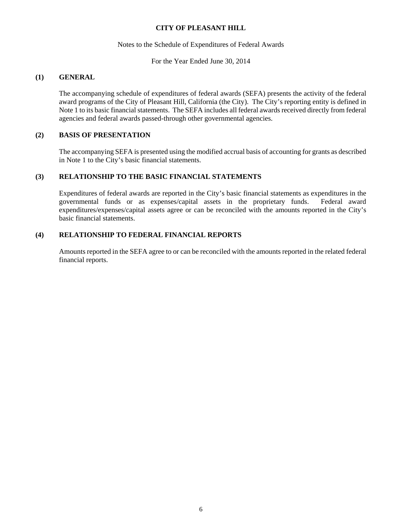#### Notes to the Schedule of Expenditures of Federal Awards

For the Year Ended June 30, 2014

#### **(1) GENERAL**

The accompanying schedule of expenditures of federal awards (SEFA) presents the activity of the federal award programs of the City of Pleasant Hill, California (the City). The City's reporting entity is defined in Note 1 to its basic financial statements. The SEFA includes all federal awards received directly from federal agencies and federal awards passed-through other governmental agencies.

### **(2) BASIS OF PRESENTATION**

The accompanying SEFA is presented using the modified accrual basis of accounting for grants as described in Note 1 to the City's basic financial statements.

### **(3) RELATIONSHIP TO THE BASIC FINANCIAL STATEMENTS**

Expenditures of federal awards are reported in the City's basic financial statements as expenditures in the governmental funds or as expenses/capital assets in the proprietary funds. Federal award expenditures/expenses/capital assets agree or can be reconciled with the amounts reported in the City's basic financial statements.

### **(4) RELATIONSHIP TO FEDERAL FINANCIAL REPORTS**

Amounts reported in the SEFA agree to or can be reconciled with the amounts reported in the related federal financial reports.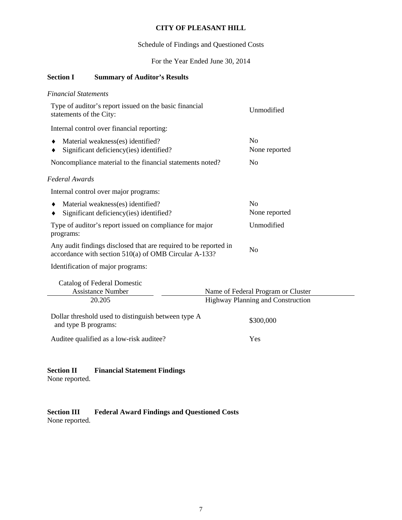# Schedule of Findings and Questioned Costs

For the Year Ended June 30, 2014

# **Section I Summary of Auditor's Results**

### *Financial Statements*

| Type of auditor's report issued on the basic financial<br>statements of the City:                                         | Unmodified                               |
|---------------------------------------------------------------------------------------------------------------------------|------------------------------------------|
| Internal control over financial reporting:                                                                                |                                          |
| Material weakness(es) identified?<br>Significant deficiency (ies) identified?                                             | No<br>None reported                      |
| Noncompliance material to the financial statements noted?                                                                 | No                                       |
| Federal Awards                                                                                                            |                                          |
| Internal control over major programs:                                                                                     |                                          |
| Material weakness(es) identified?<br>Significant deficiency (ies) identified?                                             | No<br>None reported                      |
| Type of auditor's report issued on compliance for major<br>programs:                                                      | Unmodified                               |
| Any audit findings disclosed that are required to be reported in<br>accordance with section 510(a) of OMB Circular A-133? | No                                       |
| Identification of major programs:                                                                                         |                                          |
| <b>Catalog of Federal Domestic</b><br><b>Assistance Number</b>                                                            | Name of Federal Program or Cluster       |
| 20.205                                                                                                                    | <b>Highway Planning and Construction</b> |
| Dollar threshold used to distinguish between type A<br>and type B programs:                                               | \$300,000                                |
| Auditee qualified as a low-risk auditee?                                                                                  | Yes                                      |
|                                                                                                                           |                                          |

**Section II Financial Statement Findings**

None reported.

### **Section III Federal Award Findings and Questioned Costs**  None reported.